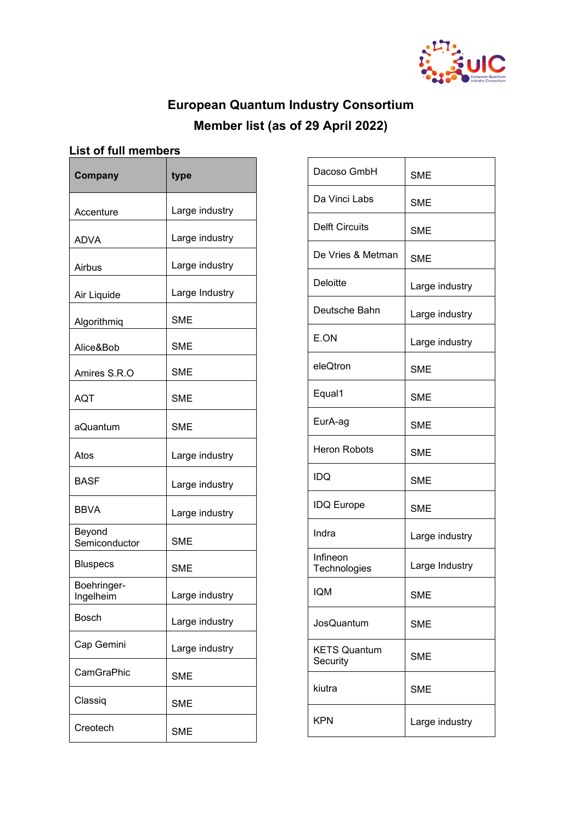

## **European Quantum Industry Consortium Member list (as of 29 April 2022)**

## **List of full members**

| Company                  | type           |
|--------------------------|----------------|
| Accenture                | Large industry |
| ADVA                     | Large industry |
| Airbus                   | Large industry |
| Air Liquide              | Large Industry |
| Algorithmiq              | <b>SME</b>     |
| Alice&Bob                | <b>SME</b>     |
| Amires S.R.O             | <b>SME</b>     |
| <b>AQT</b>               | <b>SME</b>     |
| aQuantum                 | <b>SME</b>     |
| Atos                     | Large industry |
| <b>BASF</b>              | Large industry |
| <b>BBVA</b>              | Large industry |
| Beyond<br>Semiconductor  | <b>SME</b>     |
| <b>Bluspecs</b>          | <b>SME</b>     |
| Boehringer-<br>Ingelheim | Large industry |
| <b>Bosch</b>             | Large industry |
| Cap Gemini               | Large industry |
| CamGraPhic               | <b>SME</b>     |
| Classiq                  | <b>SME</b>     |
| Creotech                 | <b>SME</b>     |

| Dacoso GmbH                     | <b>SME</b>     |
|---------------------------------|----------------|
| Da Vinci Labs                   | <b>SME</b>     |
| <b>Delft Circuits</b>           | <b>SME</b>     |
| De Vries & Metman               | <b>SME</b>     |
| <b>Deloitte</b>                 | Large industry |
| Deutsche Bahn                   | Large industry |
| E.ON                            | Large industry |
| eleQtron                        | <b>SME</b>     |
| Equal1                          | <b>SME</b>     |
| EurA-ag                         | <b>SME</b>     |
| <b>Heron Robots</b>             | <b>SME</b>     |
| IDQ                             | <b>SME</b>     |
| <b>IDQ Europe</b>               | <b>SME</b>     |
| Indra                           | Large industry |
| Infineon<br>Technologies        | Large Industry |
| <b>IQM</b>                      | SME            |
| <b>JosQuantum</b>               | <b>SME</b>     |
| <b>KETS Quantum</b><br>Security | <b>SME</b>     |
| kiutra                          | <b>SME</b>     |
| <b>KPN</b>                      | Large industry |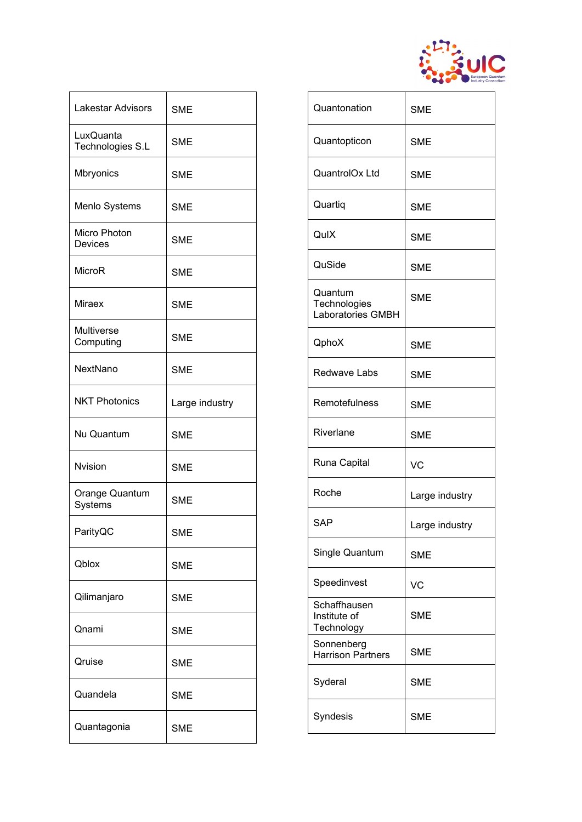

| Lakestar Advisors              | <b>SME</b>     |
|--------------------------------|----------------|
| LuxQuanta<br>Technologies S.L  | <b>SME</b>     |
| Mbryonics                      | <b>SME</b>     |
| Menlo Systems                  | <b>SME</b>     |
| Micro Photon<br><b>Devices</b> | <b>SME</b>     |
| MicroR                         | <b>SME</b>     |
| <b>Miraex</b>                  | <b>SME</b>     |
| Multiverse<br>Computing        | <b>SME</b>     |
| NextNano                       | <b>SME</b>     |
| <b>NKT Photonics</b>           | Large industry |
| Nu Quantum                     | <b>SME</b>     |
| <b>Nvision</b>                 | <b>SME</b>     |
| Orange Quantum<br>Systems      | <b>SME</b>     |
| ParityQC                       | <b>SME</b>     |
| Qblox                          | <b>SME</b>     |
| Qilimanjaro                    | <b>SME</b>     |
| Qnami                          | <b>SME</b>     |
| Qruise                         | <b>SME</b>     |
| Quandela                       | <b>SME</b>     |
| Quantagonia                    | <b>SME</b>     |

| Quantonation                                        | <b>SME</b>     |
|-----------------------------------------------------|----------------|
| Quantopticon                                        | <b>SME</b>     |
| QuantrolOx Ltd                                      | <b>SME</b>     |
| Quartiq                                             | <b>SME</b>     |
| QulX                                                | <b>SME</b>     |
| QuSide                                              | <b>SME</b>     |
| Quantum<br>Technologies<br><b>Laboratories GMBH</b> | <b>SME</b>     |
| QphoX                                               | <b>SME</b>     |
| Redwave Labs                                        | <b>SME</b>     |
| Remotefulness                                       | <b>SME</b>     |
| Riverlane                                           | <b>SME</b>     |
| Runa Capital                                        | <b>VC</b>      |
| Roche                                               | Large industry |
| <b>SAP</b>                                          | Large industry |
| Single Quantum                                      | <b>SME</b>     |
| Speedinvest                                         | VC             |
| Schaffhausen<br>Institute of<br>Technology          | <b>SME</b>     |
| Sonnenberg<br><b>Harrison Partners</b>              | <b>SME</b>     |
| Syderal                                             | <b>SME</b>     |
| Syndesis                                            | <b>SME</b>     |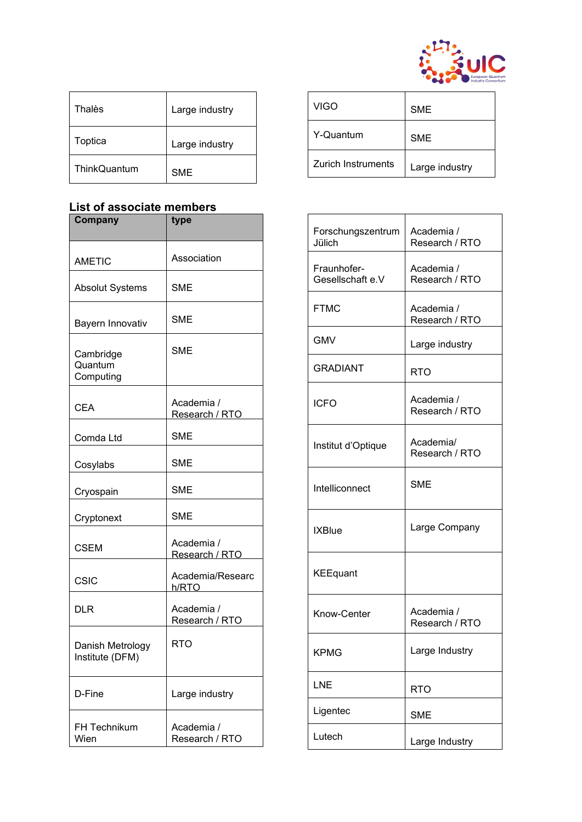

| Thalès       | Large industry |
|--------------|----------------|
| Toptica      | Large industry |
| ThinkQuantum | <b>SME</b>     |

## **List of associate members**

| Company                             | type                         |
|-------------------------------------|------------------------------|
| <b>AMETIC</b>                       | Association                  |
| <b>Absolut Systems</b>              | <b>SME</b>                   |
| Bayern Innovativ                    | SME                          |
| Cambridge<br>Quantum<br>Computing   | <b>SME</b>                   |
| <b>CEA</b>                          | Academia /<br>Research / RTO |
| Comda Ltd                           | <b>SME</b>                   |
| Cosylabs                            | <b>SME</b>                   |
| Cryospain                           | <b>SME</b>                   |
| Cryptonext                          | <b>SME</b>                   |
| <b>CSEM</b>                         | Academia /<br>Research / RTO |
| CSIC                                | Academia/Researc<br>h/RTO    |
| DLR                                 | Academia /<br>Research / RTO |
| Danish Metrology<br>Institute (DFM) | RTO                          |
| D-Fine                              | Large industry               |
| <b>FH Technikum</b><br>Wien         | Academia /<br>Research / RTO |

| <b>VIGO</b>        | <b>SME</b>     |
|--------------------|----------------|
| Y-Quantum          | <b>SME</b>     |
| Zurich Instruments | Large industry |

| Forschungszentrum<br>Jülich     | Academia /<br>Research / RTO |
|---------------------------------|------------------------------|
| Fraunhofer-<br>Gesellschaft e.V | Academia /<br>Research / RTO |
| <b>FTMC</b>                     | Academia /<br>Research / RTO |
| <b>GMV</b>                      | Large industry               |
| <b>GRADIANT</b>                 | <b>RTO</b>                   |
| <b>ICFO</b>                     | Academia /<br>Research / RTO |
| Institut d'Optique              | Academia/<br>Research / RTO  |
| Intelliconnect                  | <b>SME</b>                   |
| <b>IXBlue</b>                   | Large Company                |
| <b>KEEquant</b>                 |                              |
| Know-Center                     | Academia /<br>Research / RTO |
| KPMG                            | Large Industry               |
| LNE                             | <b>RTO</b>                   |
| Ligentec                        | <b>SME</b>                   |
| Lutech                          | Large Industry               |